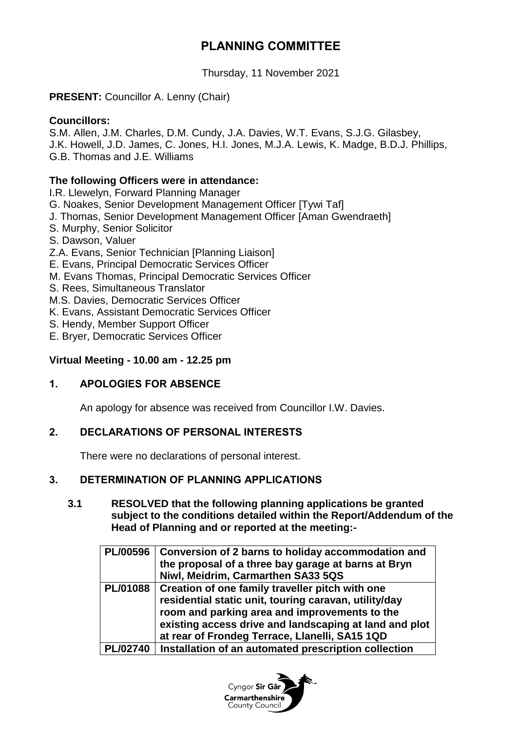# **PLANNING COMMITTEE**

Thursday, 11 November 2021

# **PRESENT:** Councillor A. Lenny (Chair)

### **Councillors:**

S.M. Allen, J.M. Charles, D.M. Cundy, J.A. Davies, W.T. Evans, S.J.G. Gilasbey, J.K. Howell, J.D. James, C. Jones, H.I. Jones, M.J.A. Lewis, K. Madge, B.D.J. Phillips, G.B. Thomas and J.E. Williams

## **The following Officers were in attendance:**

I.R. Llewelyn, Forward Planning Manager

- G. Noakes, Senior Development Management Officer [Tywi Taf]
- J. Thomas, Senior Development Management Officer [Aman Gwendraeth]
- S. Murphy, Senior Solicitor
- S. Dawson, Valuer
- Z.A. Evans, Senior Technician [Planning Liaison]
- E. Evans, Principal Democratic Services Officer
- M. Evans Thomas, Principal Democratic Services Officer
- S. Rees, Simultaneous Translator
- M.S. Davies, Democratic Services Officer
- K. Evans, Assistant Democratic Services Officer
- S. Hendy, Member Support Officer
- E. Bryer, Democratic Services Officer

# **Virtual Meeting - 10.00 am - 12.25 pm**

# **1. APOLOGIES FOR ABSENCE**

An apology for absence was received from Councillor I.W. Davies.

### **2. DECLARATIONS OF PERSONAL INTERESTS**

There were no declarations of personal interest.

# **3. DETERMINATION OF PLANNING APPLICATIONS**

**3.1 RESOLVED that the following planning applications be granted subject to the conditions detailed within the Report/Addendum of the Head of Planning and or reported at the meeting:-**

|                 | PL/00596   Conversion of 2 barns to holiday accommodation and<br>the proposal of a three bay garage at barns at Bryn<br>Niwl, Meidrim, Carmarthen SA33 5QS                                                                                                                       |
|-----------------|----------------------------------------------------------------------------------------------------------------------------------------------------------------------------------------------------------------------------------------------------------------------------------|
|                 | PL/01088   Creation of one family traveller pitch with one<br>residential static unit, touring caravan, utility/day<br>room and parking area and improvements to the<br>existing access drive and landscaping at land and plot<br>at rear of Frondeg Terrace, Llanelli, SA15 1QD |
| <b>PL/02740</b> | Installation of an automated prescription collection                                                                                                                                                                                                                             |

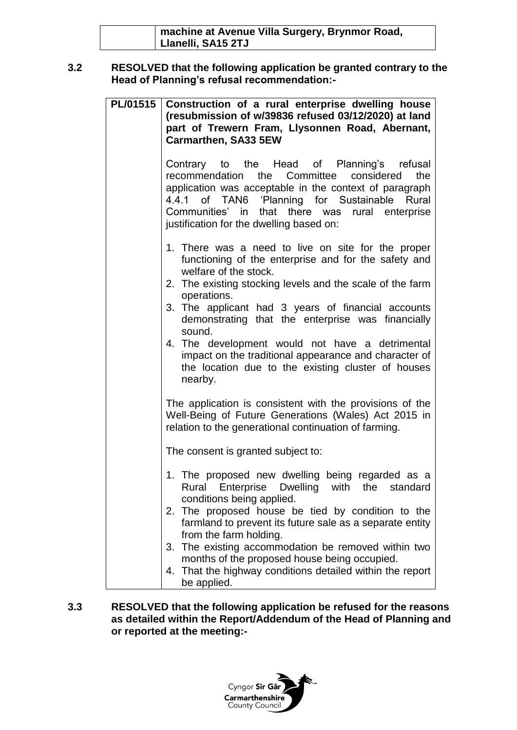| machine at Avenue Villa Surgery, Brynmor Road, |
|------------------------------------------------|
| Llanelli, SA15 2TJ                             |

### **3.2 RESOLVED that the following application be granted contrary to the Head of Planning's refusal recommendation:-**

| PL/01515 | Construction of a rural enterprise dwelling house<br>(resubmission of w/39836 refused 03/12/2020) at land<br>part of Trewern Fram, Llysonnen Road, Abernant,<br><b>Carmarthen, SA33 5EW</b>                                                                                                                                                                                                                                                      |
|----------|--------------------------------------------------------------------------------------------------------------------------------------------------------------------------------------------------------------------------------------------------------------------------------------------------------------------------------------------------------------------------------------------------------------------------------------------------|
|          | Contrary to the Head of Planning's refusal<br>the Committee considered<br>the<br>recommendation<br>application was acceptable in the context of paragraph<br>4.4.1 of TAN6 'Planning for Sustainable Rural<br>Communities' in<br>that there was rural enterprise<br>justification for the dwelling based on:                                                                                                                                     |
|          | 1. There was a need to live on site for the proper<br>functioning of the enterprise and for the safety and<br>welfare of the stock.<br>2. The existing stocking levels and the scale of the farm<br>operations.<br>3. The applicant had 3 years of financial accounts<br>demonstrating that the enterprise was financially<br>sound.<br>4. The development would not have a detrimental<br>impact on the traditional appearance and character of |
|          | the location due to the existing cluster of houses<br>nearby.<br>The application is consistent with the provisions of the                                                                                                                                                                                                                                                                                                                        |
|          | Well-Being of Future Generations (Wales) Act 2015 in<br>relation to the generational continuation of farming.<br>The consent is granted subject to:                                                                                                                                                                                                                                                                                              |
|          | 1. The proposed new dwelling being regarded as a<br>Rural Enterprise Dwelling with the standard<br>conditions being applied.<br>2. The proposed house be tied by condition to the<br>farmland to prevent its future sale as a separate entity<br>from the farm holding.                                                                                                                                                                          |
|          | 3. The existing accommodation be removed within two<br>months of the proposed house being occupied.<br>4. That the highway conditions detailed within the report<br>be applied.                                                                                                                                                                                                                                                                  |

**3.3 RESOLVED that the following application be refused for the reasons as detailed within the Report/Addendum of the Head of Planning and or reported at the meeting:-**